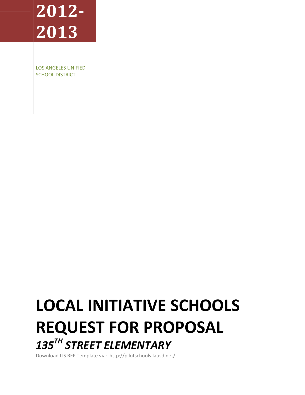# **2012- 2013**

LOS ANGELES UNIFIED SCHOOL DISTRICT

# **LOCAL INITIATIVE SCHOOLS REQUEST FOR PROPOSAL**  *135TH STREET ELEMENTARY*

Download LIS RFP Template via: http://pilotschools.lausd.net/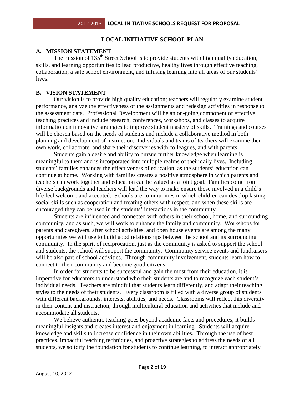# **LOCAL INITIATIVE SCHOOL PLAN**

#### **A. MISSION STATEMENT**

The mission of 135<sup>th</sup> Street School is to provide students with high quality education, skills, and learning opportunities to lead productive, healthy lives through effective teaching, collaboration, a safe school environment, and infusing learning into all areas of our students' lives.

#### **B. VISION STATEMENT**

 Our vision is to provide high quality education; teachers will regularly examine student performance, analyze the effectiveness of the assignments and redesign activities in response to the assessment data. Professional Development will be an on-going component of effective teaching practices and include research, conferences, workshops, and classes to acquire information on innovative strategies to improve student mastery of skills. Trainings and courses will be chosen based on the needs of students and include a collaborative method in both planning and development of instruction. Individuals and teams of teachers will examine their own work, collaborate, and share their discoveries with colleagues, and with parents.

 Students gain a desire and ability to pursue further knowledge when learning is meaningful to them and is incorporated into multiple realms of their daily lives. Including students' families enhances the effectiveness of education, as the students' education can continue at home. Working with families creates a positive atmosphere in which parents and teachers can work together and education can be valued as a joint goal. Families come from diverse backgrounds and teachers will lead the way to make ensure those involved in a child's life feel welcome and accepted. Schools are communities in which children can develop lasting social skills such as cooperation and treating others with respect, and when these skills are encouraged they can be used in the students' interactions in the community.

 Students are influenced and connected with others in their school, home, and surrounding community, and as such, we will work to enhance the family and community. Workshops for parents and caregivers, after school activities, and open house events are among the many opportunities we will use to build good relationships between the school and its surrounding community. In the spirit of reciprocation, just as the community is asked to support the school and students, the school will support the community. Community service events and fundraisers will be also part of school activities. Through community involvement, students learn how to connect to their community and become good citizens.

 In order for students to be successful and gain the most from their education, it is imperative for educators to understand who their students are and to recognize each student's individual needs. Teachers are mindful that students learn differently, and adapt their teaching styles to the needs of their students. Every classroom is filled with a diverse group of students with different backgrounds, interests, abilities, and needs. Classrooms will reflect this diversity in their content and instruction, through multicultural education and activities that include and accommodate all students.

We believe authentic teaching goes beyond academic facts and procedures; it builds meaningful insights and creates interest and enjoyment in learning. Students will acquire knowledge and skills to increase confidence in their own abilities. Through the use of best practices, impactful teaching techniques, and proactive strategies to address the needs of all students, we solidify the foundation for students to continue learning, to interact appropriately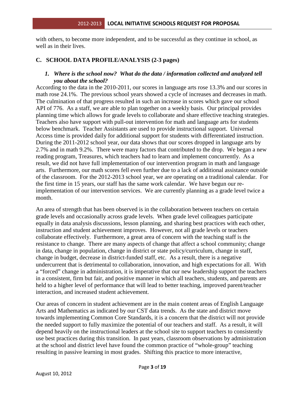with others, to become more independent, and to be successful as they continue in school, as well as in their lives.

# **C. SCHOOL DATA PROFILE/ANALYSIS (2-3 pages)**

#### *1. Where is the school now? What do the data / information collected and analyzed tell you about the school?*

According to the data in the 2010-2011, our scores in language arts rose 13.3% and our scores in math rose 24.1%. The previous school years showed a cycle of increases and decreases in math. The culmination of that progress resulted in such an increase in scores which gave our school API of 776. As a staff, we are able to plan together on a weekly basis. Our principal provides planning time which allows for grade levels to collaborate and share effective teaching strategies. Teachers also have support with pull-out intervention for math and language arts for students below benchmark. Teacher Assistants are used to provide instructional support. Universal Access time is provided daily for additional support for students with differentiated instruction. During the 2011-2012 school year, our data shows that our scores dropped in language arts by 2.7% and in math 9.2%. There were many factors that contributed to the drop. We began a new reading program, Treasures, which teachers had to learn and implement concurrently. As a result, we did not have full implementation of our intervention program in math and language arts. Furthermore, our math scores fell even further due to a lack of additional assistance outside of the classroom. For the 2012-2013 school year, we are operating on a traditional calendar. For the first time in 15 years, our staff has the same work calendar. We have begun our reimplementation of our intervention services. We are currently planning as a grade level twice a month.

An area of strength that has been observed is in the collaboration between teachers on certain grade levels and occasionally across grade levels. When grade level colleagues participate equally in data analysis discussions, lesson planning, and sharing best practices with each other, instruction and student achievement improves. However, not all grade levels or teachers collaborate effectively. Furthermore, a great area of concern with the teaching staff is the resistance to change. There are many aspects of change that affect a school community; change in data, change in population, change in district or state policy/curriculum, change in staff, change in budget, decrease in district-funded staff, etc. As a result, there is a negative undercurrent that is detrimental to collaboration, innovation, and high expectations for all. With a "forced" change in administration, it is imperative that our new leadership support the teachers in a consistent, firm but fair, and positive manner in which all teachers, students, and parents are held to a higher level of performance that will lead to better teaching, improved parent/teacher interaction, and increased student achievement.

Our areas of concern in student achievement are in the main content areas of English Language Arts and Mathematics as indicated by our CST data trends. As the state and district move towards implementing Common Core Standards, it is a concern that the district will not provide the needed support to fully maximize the potential of our teachers and staff. As a result, it will depend heavily on the instructional leaders at the school site to support teachers to consistently use best practices during this transition. In past years, classroom observations by administration at the school and district level have found the common practice of "whole-group" teaching resulting in passive learning in most grades. Shifting this practice to more interactive,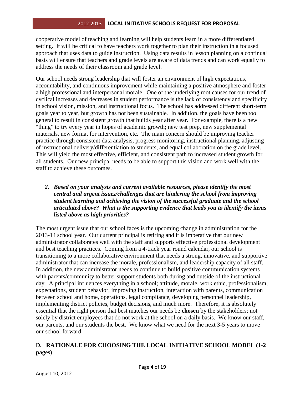cooperative model of teaching and learning will help students learn in a more differentiated setting. It will be critical to have teachers work together to plan their instruction in a focused approach that uses data to guide instruction. Using data results in lesson planning on a continual basis will ensure that teachers and grade levels are aware of data trends and can work equally to address the needs of their classroom and grade level.

Our school needs strong leadership that will foster an environment of high expectations, accountability, and continuous improvement while maintaining a positive atmosphere and foster a high professional and interpersonal morale. One of the underlying root causes for our trend of cyclical increases and decreases in student performance is the lack of consistency and specificity in school vision, mission, and instructional focus. The school has addressed different short-term goals year to year, but growth has not been sustainable. In addition, the goals have been too general to result in consistent growth that builds year after year. For example, there is a new "thing" to try every year in hopes of academic growth; new test prep, new supplemental materials, new format for intervention, etc. The main concern should be improving teacher practice through consistent data analysis, progress monitoring, instructional planning, adjusting of instructional delivery/differentiation to students, and equal collaboration on the grade level. This will yield the most effective, efficient, and consistent path to increased student growth for all students. Our new principal needs to be able to support this vision and work well with the staff to achieve these outcomes.

# *2. Based on your analysis and current available resources, please identify the most central and urgent issues/challenges that are hindering the school from improving student learning and achieving the vision of the successful graduate and the school articulated above? What is the supporting evidence that leads you to identify the items listed above as high priorities?*

The most urgent issue that our school faces is the upcoming change in administration for the 2013-14 school year. Our current principal is retiring and it is imperative that our new administrator collaborates well with the staff and supports effective professional development and best teaching practices. Coming from a 4-track year round calendar, our school is transitioning to a more collaborative environment that needs a strong, innovative, and supportive administrator that can increase the morale, professionalism, and leadership capacity of all staff. In addition, the new administrator needs to continue to build positive communication systems with parents/community to better support students both during and outside of the instructional day. A principal influences everything in a school; attitude, morale, work ethic, professionalism, expectations, student behavior, improving instruction, interaction with parents, communication between school and home, operations, legal compliance, developing personnel leadership, implementing district policies, budget decisions, and much more. Therefore, it is absolutely essential that the right person that best matches our needs be **chosen** by the stakeholders; not solely by district employees that do not work at the school on a daily basis. We know our staff, our parents, and our students the best. We know what we need for the next 3-5 years to move our school forward.

# **D. RATIONALE FOR CHOOSING THE LOCAL INITIATIVE SCHOOL MODEL (1-2 pages)**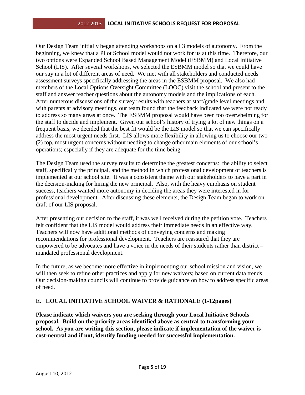Our Design Team initially began attending workshops on all 3 models of autonomy. From the beginning, we knew that a Pilot School model would not work for us at this time. Therefore, our two options were Expanded School Based Management Model (ESBMM) and Local Initiative School (LIS). After several workshops, we selected the ESBMM model so that we could have our say in a lot of different areas of need. We met with all stakeholders and conducted needs assessment surveys specifically addressing the areas in the ESBMM proposal. We also had members of the Local Options Oversight Committee (LOOC) visit the school and present to the staff and answer teacher questions about the autonomy models and the implications of each. After numerous discussions of the survey results with teachers at staff/grade level meetings and with parents at advisory meetings, our team found that the feedback indicated we were not ready to address so many areas at once. The ESBMM proposal would have been too overwhelming for the staff to decide and implement. Given our school's history of trying a lot of new things on a frequent basis, we decided that the best fit would be the LIS model so that we can specifically address the most urgent needs first. LIS allows more flexibility in allowing us to choose our two (2) top, most urgent concerns without needing to change other main elements of our school's operations; especially if they are adequate for the time being.

The Design Team used the survey results to determine the greatest concerns: the ability to select staff, specifically the principal, and the method in which professional development of teachers is implemented at our school site. It was a consistent theme with our stakeholders to have a part in the decision-making for hiring the new principal. Also, with the heavy emphasis on student success, teachers wanted more autonomy in deciding the areas they were interested in for professional development. After discussing these elements, the Design Team began to work on draft of our LIS proposal.

After presenting our decision to the staff, it was well received during the petition vote. Teachers felt confident that the LIS model would address their immediate needs in an effective way. Teachers will now have additional methods of conveying concerns and making recommendations for professional development. Teachers are reassured that they are empowered to be advocates and have a voice in the needs of their students rather than district – mandated professional development.

In the future, as we become more effective in implementing our school mission and vision, we will then seek to refine other practices and apply for new waivers; based on current data trends. Our decision-making councils will continue to provide guidance on how to address specific areas of need.

# **E. LOCAL INITIATIVE SCHOOL WAIVER & RATIONALE (1-12pages)**

**Please indicate which waivers you are seeking through your Local Initiative Schools proposal. Build on the priority areas identified above as central to transforming your school. As you are writing this section, please indicate if implementation of the waiver is cost-neutral and if not, identify funding needed for successful implementation.**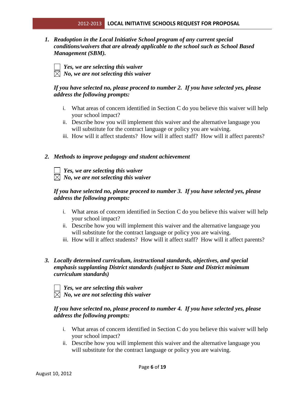*1. Readoption in the Local Initiative School program of any current special conditions/waivers that are already applicable to the school such as School Based Management (SBM).* 

 *Yes, we are selecting this waiver*   $\boxtimes$  *No, we are not selecting this waiver* 

## *If you have selected no, please proceed to number 2. If you have selected yes, please address the following prompts:*

- i. What areas of concern identified in Section C do you believe this waiver will help your school impact?
- ii. Describe how you will implement this waiver and the alternative language you will substitute for the contract language or policy you are waiving.
- iii. How will it affect students? How will it affect staff? How will it affect parents?

## *2. Methods to improve pedagogy and student achievement*

# *Yes, we are selecting this waiver No, we are not selecting this waiver*

# *If you have selected no, please proceed to number 3. If you have selected yes, please address the following prompts:*

- i. What areas of concern identified in Section C do you believe this waiver will help your school impact?
- ii. Describe how you will implement this waiver and the alternative language you will substitute for the contract language or policy you are waiving.
- iii. How will it affect students? How will it affect staff? How will it affect parents?

# *3. Locally determined curriculum, instructional standards, objectives, and special emphasis supplanting District standards (subject to State and District minimum curriculum standards)*

*Yes, we are selecting this waiver*   $\boxtimes$  *No, we are not selecting this waiver* 

## *If you have selected no, please proceed to number 4. If you have selected yes, please address the following prompts:*

- i. What areas of concern identified in Section C do you believe this waiver will help your school impact?
- ii. Describe how you will implement this waiver and the alternative language you will substitute for the contract language or policy you are waiving.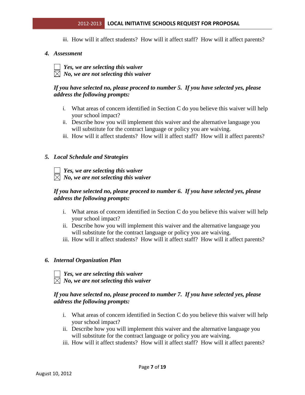iii. How will it affect students? How will it affect staff? How will it affect parents?

#### *4. Assessment*

*Yes, we are selecting this waiver*   $\boxtimes$  *No, we are not selecting this waiver* 

#### *If you have selected no, please proceed to number 5. If you have selected yes, please address the following prompts:*

- i. What areas of concern identified in Section C do you believe this waiver will help your school impact?
- ii. Describe how you will implement this waiver and the alternative language you will substitute for the contract language or policy you are waiving.
- iii. How will it affect students? How will it affect staff? How will it affect parents?

#### *5. Local Schedule and Strategies*

 *Yes, we are selecting this waiver*   $\boxtimes$  *No, we are not selecting this waiver* 

#### *If you have selected no, please proceed to number 6. If you have selected yes, please address the following prompts:*

- i. What areas of concern identified in Section C do you believe this waiver will help your school impact?
- ii. Describe how you will implement this waiver and the alternative language you will substitute for the contract language or policy you are waiving.
- iii. How will it affect students? How will it affect staff? How will it affect parents?

#### *6. Internal Organization Plan*

 *Yes, we are selecting this waiver*   $\overline{\boxtimes}$  *No, we are not selecting this waiver* 

#### *If you have selected no, please proceed to number 7. If you have selected yes, please address the following prompts:*

- i. What areas of concern identified in Section C do you believe this waiver will help your school impact?
- ii. Describe how you will implement this waiver and the alternative language you will substitute for the contract language or policy you are waiving.
- iii. How will it affect students? How will it affect staff? How will it affect parents?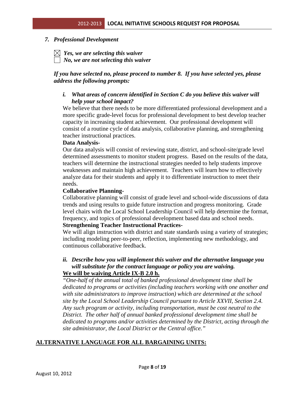#### *7. Professional Development*

 $\boxtimes$  Yes, we are selecting this waiver

 *No, we are not selecting this waiver* 

# *If you have selected no, please proceed to number 8. If you have selected yes, please address the following prompts:*

# *i. What areas of concern identified in Section C do you believe this waiver will help your school impact?*

We believe that there needs to be more differentiated professional development and a more specific grade-level focus for professional development to best develop teacher capacity in increasing student achievement. Our professional development will consist of a routine cycle of data analysis, collaborative planning, and strengthening teacher instructional practices.

#### **Data Analysis-**

Our data analysis will consist of reviewing state, district, and school-site/grade level determined assessments to monitor student progress. Based on the results of the data, teachers will determine the instructional strategies needed to help students improve weaknesses and maintain high achievement. Teachers will learn how to effectively analyze data for their students and apply it to differentiate instruction to meet their needs.

#### **Collaborative Planning-**

Collaborative planning will consist of grade level and school-wide discussions of data trends and using results to guide future instruction and progress monitoring. Grade level chairs with the Local School Leadership Council will help determine the format, frequency, and topics of professional development based data and school needs.

#### **Strengthening Teacher Instructional Practices-**

We will align instruction with district and state standards using a variety of strategies; including modeling peer-to-peer, reflection, implementing new methodology, and continuous collaborative feedback.

#### *ii. Describe how you will implement this waiver and the alternative language you will substitute for the contract language or policy you are waiving.*  **We will be waiving Article IX-B 2.0 h.**

*"One-half of the annual total of banked professional development time shall be dedicated to programs or activities (including teachers working with one another and with site administrators to improve instruction) which are determined at the school site by the Local School Leadership Council pursuant to Article XXVII, Section 2.4. Any such program or activity, including transportation, must be cost neutral to the District. The other half of annual banked professional development time shall be dedicated to programs and/or activities determined by the District, acting through the site administrator, the Local District or the Central office."*

# **ALTERNATIVE LANGUAGE FOR ALL BARGAINING UNITS:**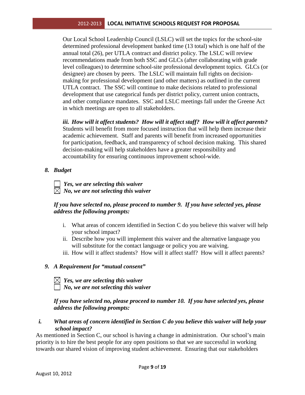Our Local School Leadership Council (LSLC) will set the topics for the school-site determined professional development banked time (13 total) which is one half of the annual total (26), per UTLA contract and district policy. The LSLC will review recommendations made from both SSC and GLCs (after collaborating with grade level colleagues) to determine school-site professional development topics. GLCs (or designee) are chosen by peers. The LSLC will maintain full rights on decisionmaking for professional development (and other matters) as outlined in the current UTLA contract. The SSC will continue to make decisions related to professional development that use categorical funds per district policy, current union contracts, and other compliance mandates. SSC and LSLC meetings fall under the Greene Act in which meetings are open to all stakeholders.

*iii. How will it affect students? How will it affect staff? How will it affect parents?*  Students will benefit from more focused instruction that will help them increase their academic achievement. Staff and parents will benefit from increased opportunities for participation, feedback, and transparency of school decision making. This shared decision-making will help stakeholders have a greater responsibility and accountability for ensuring continuous improvement school-wide.

*8. Budget* 

| $\Box$ Yes, we are selecting this waiver         |
|--------------------------------------------------|
| $\boxtimes$ No, we are not selecting this waiver |

# *If you have selected no, please proceed to number 9. If you have selected yes, please address the following prompts:*

- i. What areas of concern identified in Section C do you believe this waiver will help your school impact?
- ii. Describe how you will implement this waiver and the alternative language you will substitute for the contact language or policy you are waiving.
- iii. How will it affect students? How will it affect staff? How will it affect parents?

# *9. A Requirement for "mutual consent"*

 $\boxtimes$  Yes, we are selecting this waiver  *No, we are not selecting this waiver* 

*If you have selected no, please proceed to number 10. If you have selected yes, please address the following prompts:* 

# *i. What areas of concern identified in Section C do you believe this waiver will help your school impact?*

As mentioned in Section C, our school is having a change in administration. Our school's main priority is to hire the best people for any open positions so that we are successful in working towards our shared vision of improving student achievement. Ensuring that our stakeholders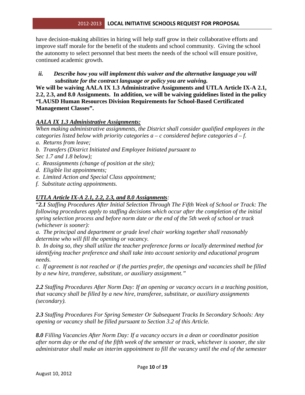have decision-making abilities in hiring will help staff grow in their collaborative efforts and improve staff morale for the benefit of the students and school community. Giving the school the autonomy to select personnel that best meets the needs of the school will ensure positive, continued academic growth.

*ii. Describe how you will implement this waiver and the alternative language you will substitute for the contract language or policy you are waiving.* 

**We will be waiving AALA IX 1.3 Administrative Assignments and UTLA Article IX-A 2.1, 2.2, 2.3, and 8.0 Assignments. In addition, we will be waiving guidelines listed in the policy "LAUSD Human Resources Division Requirements for School-Based Certificated Management Classes".** 

# *AALA IX 1.3 Administrative Assignments:*

*When making administrative assignments, the District shall consider qualified employees in the categories listed below with priority categories a – c considered before categories d – f.* 

- *a. Returns from leave;*
- *b. Transfers (District Initiated and Employee Initiated pursuant to*
- *Sec 1.7 and 1.8 below);*
- *c. Reassignments (change of position at the site);*
- *d. Eligible list appointments;*
- *e. Limited Action and Special Class appointment;*
- *f. Substitute acting appointments.*

# *UTLA Article IX-A 2.1, 2.2, 2.3, and 8.0 Assignments:*

"*2.1 Staffing Procedures After Initial Selection Through The Fifth Week of School or Track: The following procedures apply to staffing decisions which occur after the completion of the initial spring selection process and before norm date or the end of the 5th week of school or track (whichever is sooner):* 

*a. The principal and department or grade level chair working together shall reasonably determine who will fill the opening or vacancy.* 

*b. In doing so, they shall utilize the teacher preference forms or locally determined method for identifying teacher preference and shall take into account seniority and educational program needs.* 

*c. If agreement is not reached or if the parties prefer, the openings and vacancies shall be filled by a new hire, transferee, substitute, or auxiliary assignment."* 

*2.2 Staffing Procedures After Norm Day: If an opening or vacancy occurs in a teaching position, that vacancy shall be filled by a new hire, transferee, substitute, or auxiliary assignments (secondary).* 

*2.3 Staffing Procedures For Spring Semester Or Subsequent Tracks In Secondary Schools: Any opening or vacancy shall be filled pursuant to Section 3.2 of this Article.* 

*8.0 Filling Vacancies After Norm Day: If a vacancy occurs in a dean or coordinator position after norm day or the end of the fifth week of the semester or track, whichever is sooner, the site administrator shall make an interim appointment to fill the vacancy until the end of the semester*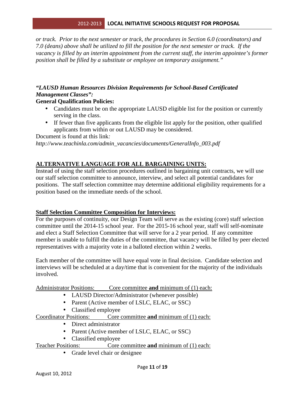*or track. Prior to the next semester or track, the procedures in Section 6.0 (coordinators) and 7.0 (deans) above shall be utilized to fill the position for the next semester or track. If the vacancy is filled by an interim appointment from the current staff, the interim appointee's former position shall be filled by a substitute or employee on temporary assignment."* 

# *"LAUSD Human Resources Division Requirements for School-Based Certificated Management Classes":*

#### **General Qualification Policies:**

- Candidates must be on the appropriate LAUSD eligible list for the position or currently serving in the class.
- If fewer than five applicants from the eligible list apply for the position, other qualified applicants from within or out LAUSD may be considered.

Document is found at this link*:* 

*http://www.teachinla.com/admin\_vacancies/documents/GeneralInfo\_003.pdf*

# **ALTERNATIVE LANGUAGE FOR ALL BARGAINING UNITS:**

Instead of using the staff selection procedures outlined in bargaining unit contracts, we will use our staff selection committee to announce, interview, and select all potential candidates for positions. The staff selection committee may determine additional eligibility requirements for a position based on the immediate needs of the school.

#### **Staff Selection Committee Composition for Interviews:**

For the purposes of continuity, our Design Team will serve as the existing (core) staff selection committee until the 2014-15 school year. For the 2015-16 school year, staff will self-nominate and elect a Staff Selection Committee that will serve for a 2 year period. If any committee member is unable to fulfill the duties of the committee, that vacancy will be filled by peer elected representatives with a majority vote in a balloted election within 2 weeks.

Each member of the committee will have equal vote in final decision. Candidate selection and interviews will be scheduled at a day/time that is convenient for the majority of the individuals involved.

Administrator Positions: Core committee **and** minimum of (1) each:

- LAUSD Director/Administrator (whenever possible)
- Parent (Active member of LSLC, ELAC, or SSC)
- Classified employee

# Coordinator Positions: Core committee **and** minimum of (1) each:

- Direct administrator
- Parent (Active member of LSLC, ELAC, or SSC)
- Classified employee

# Teacher Positions: Core committee **and** minimum of (1) each:

• Grade level chair or designee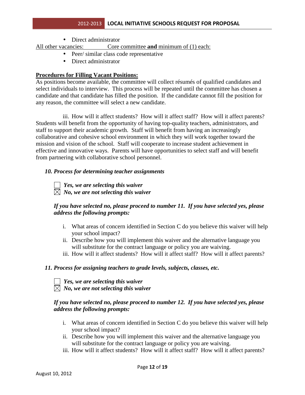• Direct administrator

All other vacancies: Core committee **and** minimum of (1) each:

- Peer/ similar class code representative
- Direct administrator

## **Procedures for Filling Vacant Positions:**

As positions become available, the committee will collect résumés of qualified candidates and select individuals to interview. This process will be repeated until the committee has chosen a candidate and that candidate has filled the position. If the candidate cannot fill the position for any reason, the committee will select a new candidate.

iii. How will it affect students? How will it affect staff? How will it affect parents? Students will benefit from the opportunity of having top-quality teachers, administrators, and staff to support their academic growth. Staff will benefit from having an increasingly collaborative and cohesive school environment in which they will work together toward the mission and vision of the school. Staff will cooperate to increase student achievement in effective and innovative ways. Parents will have opportunities to select staff and will benefit from partnering with collaborative school personnel.

## *10. Process for determining teacher assignments*



 *Yes, we are selecting this waiver*   $\boxtimes$  *No, we are not selecting this waiver* 

## *If you have selected no, please proceed to number 11. If you have selected yes, please address the following prompts:*

- i. What areas of concern identified in Section C do you believe this waiver will help your school impact?
- ii. Describe how you will implement this waiver and the alternative language you will substitute for the contract language or policy you are waiving.
- iii. How will it affect students? How will it affect staff? How will it affect parents?

#### *11. Process for assigning teachers to grade levels, subjects, classes, etc.*

 *Yes, we are selecting this waiver No, we are not selecting this waiver* 

# *If you have selected no, please proceed to number 12. If you have selected yes, please address the following prompts:*

- i. What areas of concern identified in Section C do you believe this waiver will help your school impact?
- ii. Describe how you will implement this waiver and the alternative language you will substitute for the contract language or policy you are waiving.
- iii. How will it affect students? How will it affect staff? How will it affect parents?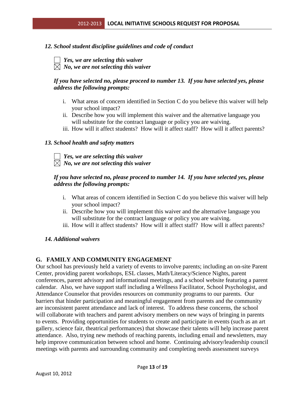# *12. School student discipline guidelines and code of conduct*

- *Yes, we are selecting this waiver*
- $\boxtimes$  No, we are not selecting this waiver

# *If you have selected no, please proceed to number 13. If you have selected yes, please address the following prompts:*

- i. What areas of concern identified in Section C do you believe this waiver will help your school impact?
- ii. Describe how you will implement this waiver and the alternative language you will substitute for the contract language or policy you are waiving.
- iii. How will it affect students? How will it affect staff? How will it affect parents?

## *13. School health and safety matters*

*Yes, we are selecting this waiver*   $\boxtimes$  *No, we are not selecting this waiver* 

# *If you have selected no, please proceed to number 14. If you have selected yes, please address the following prompts:*

- i. What areas of concern identified in Section C do you believe this waiver will help your school impact?
- ii. Describe how you will implement this waiver and the alternative language you will substitute for the contract language or policy you are waiving.
- iii. How will it affect students? How will it affect staff? How will it affect parents?

# *14. Additional waivers*

# **G. FAMILY AND COMMUNITY ENGAGEMENT**

Our school has previously held a variety of events to involve parents; including an on-site Parent Center, providing parent workshops, ESL classes, Math/Literacy/Science Nights, parent conferences, parent advisory and informational meetings, and a school website featuring a parent calendar. Also, we have support staff including a Wellness Facilitator, School Psychologist, and Attendance Counselor that provides resources on community programs to our parents. Our barriers that hinder participation and meaningful engagement from parents and the community are inconsistent parent attendance and lack of interest. To address these concerns, the school will collaborate with teachers and parent advisory members on new ways of bringing in parents to events. Providing opportunities for students to create and participate in events (such as an art gallery, science fair, theatrical performances) that showcase their talents will help increase parent attendance. Also, trying new methods of reaching parents, including email and newsletters, may help improve communication between school and home. Continuing advisory/leadership council meetings with parents and surrounding community and completing needs assessment surveys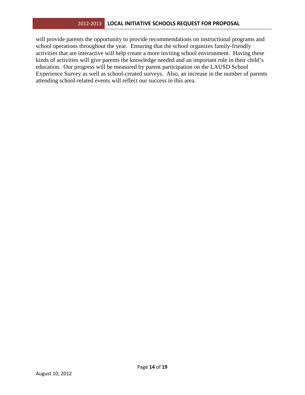will provide parents the opportunity to provide recommendations on instructional programs and school operations throughout the year. Ensuring that the school organizes family-friendly activities that are interactive will help create a more inviting school environment. Having these kinds of activities will give parents the knowledge needed and an important role in their child's education. Our progress will be measured by parent participation on the LAUSD School Experience Survey as well as school-created surveys. Also, an increase in the number of parents attending school-related events will reflect our success in this area.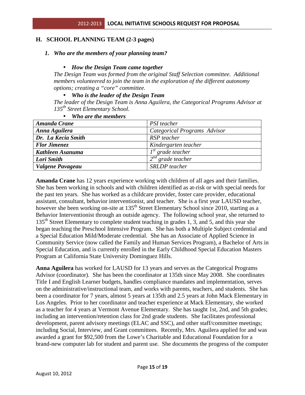# **H. SCHOOL PLANNING TEAM (2-3 pages)**

#### *1. Who are the members of your planning team?*

#### • *How the Design Team came together*

*The Design Team was formed from the original Staff Selection committee. Additional members volunteered to join the team in the exploration of the different autonomy options; creating a "core" committee.* 

#### • *Who is the leader of the Design Team*

*The leader of the Design Team is Anna Aguilera, the Categorical Programs Advisor at 135th Street Elementary School.* 

| Amanda Crane        | PSI teacher                  |
|---------------------|------------------------------|
| Anna Aguilera       | Categorical Programs Advisor |
| Dr. La Kecia Smith  | RSP teacher                  |
| <b>Flor Jimenez</b> | Kindergarten teacher         |
| Kathleen Asanuma    | $I^{st}$ grade teacher       |
| Lori Smith          | $2^{nd}$ grade teacher       |
| Valgene Pavageau    | <b>SRLDP</b> teacher         |

#### • *Who are the members*

**Amanda Crane** has 12 years experience working with children of all ages and their families. She has been working in schools and with children identified as at-risk or with special needs for the past ten years. She has worked as a childcare provider, foster care provider, educational assistant, consultant, behavior interventionist, and teacher. She is a first year LAUSD teacher, however she been working on-site at 135<sup>th</sup> Street Elementary School since 2010, starting as a Behavior Interventionist through an outside agency. The following school year, she returned to 135<sup>th</sup> Street Elementary to complete student teaching in grades 1, 3, and 5, and this year she began teaching the Preschool Intensive Program. She has both a Multiple Subject credential and a Special Education Mild/Moderate credential. She has an Associate of Applied Science in Community Service (now called the Family and Human Services Program), a Bachelor of Arts in Special Education, and is currently enrolled in the Early Childhood Special Education Masters Program at California State University Dominguez Hills.

**Anna Aguilera** has worked for LAUSD for 13 years and serves as the Categorical Programs Advisor (coordinator). She has been the coordinator at 135th since May 2008. She coordinates Title I and English Learner budgets, handles compliance mandates and implementation, serves on the administrative/instructional team, and works with parents, teachers, and students. She has been a coordinator for 7 years, almost 5 years at 135th and 2.5 years at John Mack Elementary in Los Angeles. Prior to her coordinator and teacher experience at Mack Elementary, she worked as a teacher for 4 years at Vermont Avenue Elementary. She has taught 1st, 2nd, and 5th grades; including an intervention/retention class for 2nd grade students. She facilitates professional development, parent advisory meetings (ELAC and SSC), and other staff/committee meetings; including Social, Interview, and Grant committees. Recently, Mrs. Aguilera applied for and was awarded a grant for \$92,500 from the Lowe's Charitable and Educational Foundation for a brand-new computer lab for student and parent use. She documents the progress of the computer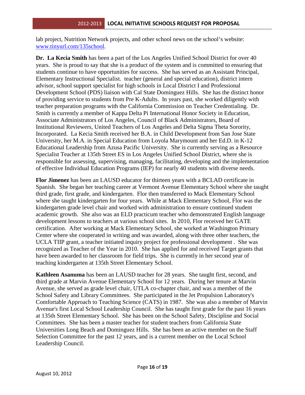lab project, Nutrition Network projects, and other school news on the school's website: www.tinyurl.com/135school.

**Dr. La Kecia Smith** has been a part of the Los Angeles Unified School District for over 40 years. She is proud to say that she is a product of the system and is committed to ensuring that students continue to have opportunities for success. She has served as an Assistant Principal, Elementary Instructional Specialist. teacher (general and special education), district intern advisor, school support specialist for high schools in Local District I and Professional Development School (PDS) liaison with Cal State Dominguez Hills. She has the distinct honor of providing service to students from Pre K-Adults. In years past, she worked diligently with teacher preparation programs with the California Commission on Teacher Credentialing. Dr. Smith is currently a member of Kappa Delta Pi International Honor Society in Education, Associate Administrators of Los Angeles, Council of Black Administrators, Board of Institutional Reviewers, United Teachers of Los Angeles and Delta Sigma Theta Sorority, Incorporated. La Kecia Smith received her B.A. in Child Development from San Jose State University, her M.A. in Special Education from Loyola Marymount and her Ed.D. in K-12 Educational Leadership from Azusa Pacific University. She is currently serving as a Resource Specialist Teacher at 135th Street ES in Los Angeles Unified School District, where she is responsible for assessing, supervising, managing, facilitating, developing and the implementation of effective Individual Education Programs (IEP) for nearly 40 students with diverse needs.

**Flor Jimenez** has been an LAUSD educator for thirteen years with a BCLAD certificate in Spanish. She began her teaching career at Vermont Avenue Elementary School where she taught third grade, first grade, and kindergarten. Flor then transferred to Mack Elementary School where she taught kindergarten for four years. While at Mack Elementary School, Flor was the kindergarten grade level chair and worked with administration to ensure continued student academic growth. She also was an ELD practicum teacher who demonstrated English language development lessons to teachers at various school sites. In 2010, Flor received her GATE certification. After working at Mack Elementary School, she worked at Washington Primary Center where she cooperated in writing and was awarded, along with three other teachers, the UCLA TIIP grant, a teacher initiated inquiry project for professional development . She was recognized as Teacher of the Year in 2010. She has applied for and received Target grants that have been awarded to her classroom for field trips. She is currently in her second year of teaching kindergarten at 135th Street Elementary School.

**Kathleen Asanuma** has been an LAUSD teacher for 28 years. She taught first, second, and third grade at Marvin Avenue Elementary School for 12 years. During her tenure at Marvin Avenue, she served as grade level chair, UTLA co-chapter chair, and was a member of the School Safety and Library Committees. She participated in the Jet Propulsion Laboratory's Comfortable Approach to Teaching Science (CATS) in 1987. She was also a member of Marvin Avenue's first Local School Leadership Council. She has taught first grade for the past 16 years at 135th Street Elementary School. She has been on the School Safety, Discipline and Social Committees. She has been a master teacher for student teachers from California State Universities Long Beach and Dominguez Hills. She has been an active member on the Staff Selection Committee for the past 12 years, and is a current member on the Local School Leadership Council.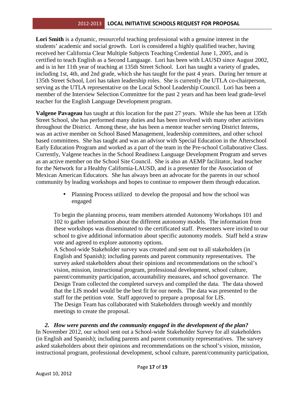Lori Smith is a dynamic, resourceful teaching professional with a genuine interest in the students' academic and social growth. Lori is considered a highly qualified teacher, having received her California Clear Multiple Subjects Teaching Credential June 1, 2005, and is certified to teach English as a Second Language. Lori has been with LAUSD since August 2002, and is in her 11th year of teaching at 135th Street School. Lori has taught a variety of grades, including 1st, 4th, and 2nd grade, which she has taught for the past 4 years. During her tenure at 135th Street School, Lori has taken leadership roles. She is currently the UTLA co-chairperson, serving as the UTLA representative on the Local School Leadership Council. Lori has been a member of the Interview Selection Committee for the past 2 years and has been lead grade-level teacher for the English Language Development program.

**Valgene Pavageau** has taught at this location for the past 27 years. While she has been at 135th Street School, she has performed many duties and has been involved with many other activities throughout the District. Among these, she has been a mentor teacher serving District Interns, was an active member on School Based Management, leadership committees, and other school based committees. She has taught and was an advisor with Special Education in the Afterschool Early Education Program and worked as a part of the team in the Pre-school Collaborative Class. Currently, Valgene teaches in the School Readiness Language Development Program and serves as an active member on the School Site Council. She is also an AEMP facilitator, lead teacher for the Network for a Healthy California-LAUSD, and is a presenter for the Association of Mexican American Educators. She has always been an advocate for the parents in our school community by leading workshops and hopes to continue to empower them through education.

> • Planning Process utilized to develop the proposal and how the school was engaged

To begin the planning process, team members attended Autonomy Workshops 101 and 102 to gather information about the different autonomy models. The information from these workshops was disseminated to the certificated staff. Presenters were invited to our school to give additional information about specific autonomy models. Staff held a straw vote and agreed to explore autonomy options.

A School-wide Stakeholder survey was created and sent out to all stakeholders (in English and Spanish); including parents and parent community representatives. The survey asked stakeholders about their opinions and recommendations on the school's vision, mission, instructional program, professional development, school culture, parent/community participation, accountability measures, and school governance. The Design Team collected the completed surveys and compiled the data. The data showed that the LIS model would be the best fit for our needs. The data was presented to the staff for the petition vote. Staff approved to prepare a proposal for LIS. The Design Team has collaborated with Stakeholders through weekly and monthly meetings to create the proposal.

# *2. How were parents and the community engaged in the development of the plan?*

In November 2012, our school sent out a School-wide Stakeholder Survey for all stakeholders (in English and Spanish); including parents and parent community representatives. The survey asked stakeholders about their opinions and recommendations on the school's vision, mission, instructional program, professional development, school culture, parent/community participation,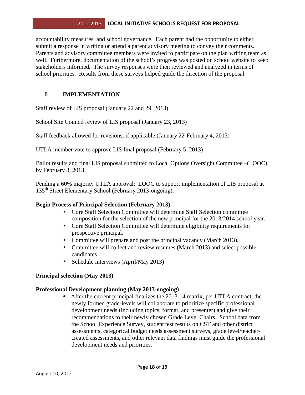accountability measures, and school governance. Each parent had the opportunity to either submit a response in writing or attend a parent advisory meeting to convey their comments. Parents and advisory committee members were invited to participate on the plan writing team as well. Furthermore, documentation of the school's progress was posted on school website to keep stakeholders informed. The survey responses were then reviewed and analyzed in terms of school priorities. Results from these surveys helped guide the direction of the proposal.

# **I. IMPLEMENTATION**

Staff review of LIS proposal (January 22 and 29, 2013)

School Site Council review of LIS proposal (January 23, 2013)

Staff feedback allowed for revisions, if applicable (January 22-February 4, 2013)

UTLA member vote to approve LIS final proposal (February 5, 2013)

Ballot results and final LIS proposal submitted to Local Options Oversight Committee –(LOOC) by February 8, 2013.

Pending a 60% majority UTLA approval: LOOC to support implementation of LIS proposal at 135<sup>th</sup> Street Elementary School (February 2013-ongoing).

# **Begin Process of Principal Selection (February 2013)**

- Core Staff Selection Committee will determine Staff Selection committee composition for the selection of the new principal for the 2013/2014 school year.
- Core Staff Selection Committee will determine eligibility requirements for prospective principal.
- Committee will prepare and post the principal vacancy (March 2013).
- Committee will collect and review resumes (March 2013) and select possible candidates
- Schedule interviews (April/May 2013)

# **Principal selection (May 2013)**

#### **Professional Development planning (May 2013-ongoing)**

• After the current principal finalizes the 2013-14 matrix, per UTLA contract, the newly formed grade-levels will collaborate to prioritize specific professional development needs (including topics, format, and presenter) and give their recommendations to their newly chosen Grade Level Chairs. School data from the School Experience Survey, student test results on CST and other district assessments, categorical budget needs assessment surveys, grade level/teachercreated assessments, and other relevant data findings must guide the professional development needs and priorities.